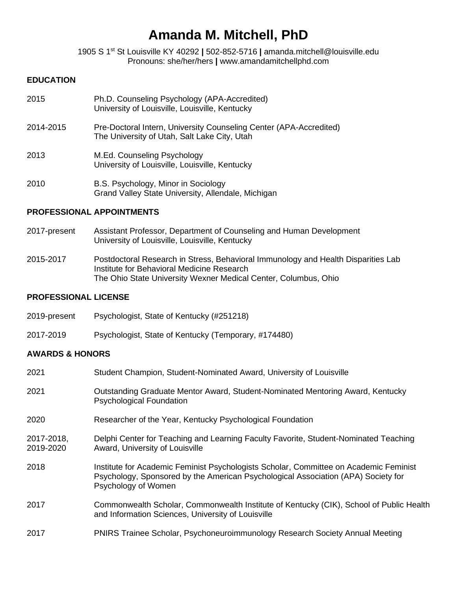# **Amanda M. Mitchell, PhD**

1905 S 1st St Louisville KY 40292 **|** 502-852-5716 **|** amanda.mitchell@louisville.edu Pronouns: she/her/hers **|** www.amandamitchellphd.com

# **EDUCATION**

| 2015      | Ph.D. Counseling Psychology (APA-Accredited)<br>University of Louisville, Louisville, Kentucky                     |
|-----------|--------------------------------------------------------------------------------------------------------------------|
| 2014-2015 | Pre-Doctoral Intern, University Counseling Center (APA-Accredited)<br>The University of Utah, Salt Lake City, Utah |
| 2013      | M.Ed. Counseling Psychology<br>University of Louisville, Louisville, Kentucky                                      |
| 2010      | R S. Pevchology, Minor in Sociology                                                                                |

2010 B.S. Psychology, Minor in Sociology Grand Valley State University, Allendale, Michigan

# **PROFESSIONAL APPOINTMENTS**

- 2017-present Assistant Professor, Department of Counseling and Human Development University of Louisville, Louisville, Kentucky
- 2015-2017 Postdoctoral Research in Stress, Behavioral Immunology and Health Disparities Lab Institute for Behavioral Medicine Research The Ohio State University Wexner Medical Center, Columbus, Ohio

# **PROFESSIONAL LICENSE**

- 2019-present Psychologist, State of Kentucky (#251218)
- 2017-2019 Psychologist, State of Kentucky (Temporary, #174480)

# **AWARDS & HONORS**

| 2021                    | Student Champion, Student-Nominated Award, University of Louisville                                                                                                                               |
|-------------------------|---------------------------------------------------------------------------------------------------------------------------------------------------------------------------------------------------|
| 2021                    | Outstanding Graduate Mentor Award, Student-Nominated Mentoring Award, Kentucky<br><b>Psychological Foundation</b>                                                                                 |
| 2020                    | Researcher of the Year, Kentucky Psychological Foundation                                                                                                                                         |
| 2017-2018,<br>2019-2020 | Delphi Center for Teaching and Learning Faculty Favorite, Student-Nominated Teaching<br>Award, University of Louisville                                                                           |
| 2018                    | Institute for Academic Feminist Psychologists Scholar, Committee on Academic Feminist<br>Psychology, Sponsored by the American Psychological Association (APA) Society for<br>Psychology of Women |
| 2017                    | Commonwealth Scholar, Commonwealth Institute of Kentucky (CIK), School of Public Health<br>and Information Sciences, University of Louisville                                                     |
| 2017                    | PNIRS Trainee Scholar, Psychoneuroimmunology Research Society Annual Meeting                                                                                                                      |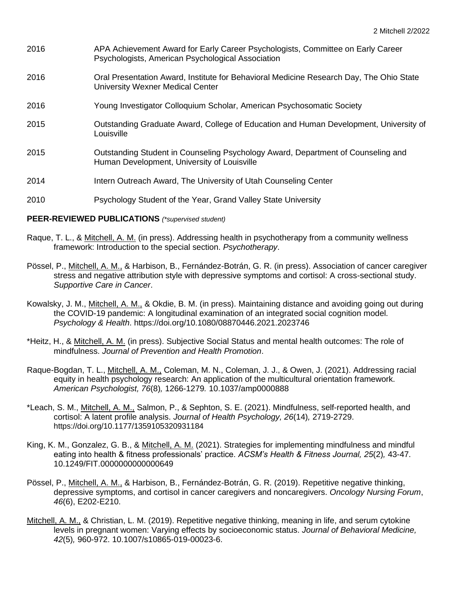- 2016 APA Achievement Award for Early Career Psychologists, Committee on Early Career Psychologists, American Psychological Association
- 2016 Oral Presentation Award, Institute for Behavioral Medicine Research Day, The Ohio State University Wexner Medical Center
- 2016 Young Investigator Colloquium Scholar, American Psychosomatic Society
- 2015 Outstanding Graduate Award, College of Education and Human Development, University of **Louisville**
- 2015 Outstanding Student in Counseling Psychology Award, Department of Counseling and Human Development, University of Louisville
- 2014 Intern Outreach Award, The University of Utah Counseling Center
- 2010 Psychology Student of the Year, Grand Valley State University

#### **PEER-REVIEWED PUBLICATIONS** *(\*supervised student)*

- Raque, T. L., & Mitchell, A. M. (in press). Addressing health in psychotherapy from a community wellness framework: Introduction to the special section. *Psychotherapy*.
- Pössel, P., Mitchell, A. M., & Harbison, B., Fernández-Botrán, G. R. (in press). Association of cancer caregiver stress and negative attribution style with depressive symptoms and cortisol: A cross-sectional study. *Supportive Care in Cancer*.
- Kowalsky, J. M., Mitchell, A. M., & Okdie, B. M. (in press). Maintaining distance and avoiding going out during the COVID-19 pandemic: A longitudinal examination of an integrated social cognition model. *Psychology & Health*. https://doi.org/10.1080/08870446.2021.2023746
- \*Heitz, H., & Mitchell, A. M. (in press). Subjective Social Status and mental health outcomes: The role of mindfulness. *Journal of Prevention and Health Promotion*.
- Raque-Bogdan, T. L., Mitchell, A. M., Coleman, M. N., Coleman, J. J., & Owen, J. (2021). Addressing racial equity in health psychology research: An application of the multicultural orientation framework. *American Psychologist, 76*(8)*,* 1266-1279*.* 10.1037/amp0000888
- \*Leach, S. M., Mitchell, A. M., Salmon, P., & Sephton, S. E. (2021). Mindfulness, self-reported health, and cortisol: A latent profile analysis. *Journal of Health Psychology, 26*(14)*,* 2719-2729. https://doi.org/10.1177/1359105320931184
- King, K. M., Gonzalez, G. B., & Mitchell, A. M. (2021). Strategies for implementing mindfulness and mindful eating into health & fitness professionals' practice. *ACSM's Health & Fitness Journal, 25*(2)*,* 43-47. 10.1249/FIT.0000000000000649
- Pössel, P., Mitchell, A. M., & Harbison, B., Fernández-Botrán, G. R. (2019). Repetitive negative thinking, depressive symptoms, and cortisol in cancer caregivers and noncaregivers. *Oncology Nursing Forum*, *46*(6), E202-E210.
- Mitchell, A. M., & Christian, L. M. (2019). Repetitive negative thinking, meaning in life, and serum cytokine levels in pregnant women: Varying effects by socioeconomic status. *Journal of Behavioral Medicine, 42*(5)*,* 960-972. 10.1007/s10865-019-00023-6.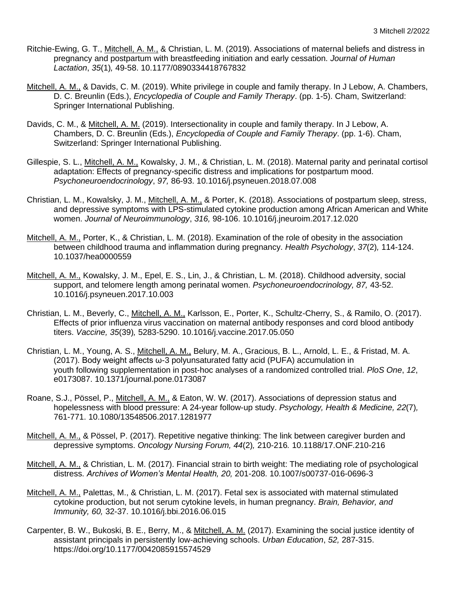- Ritchie-Ewing, G. T., Mitchell, A. M., & Christian, L. M. (2019). Associations of maternal beliefs and distress in pregnancy and postpartum with breastfeeding initiation and early cessation. *Journal of Human Lactation*, *35*(1)*,* 49-58. 10.1177/0890334418767832
- Mitchell, A. M., & Davids, C. M. (2019). White privilege in couple and family therapy. In J Lebow, A. Chambers, D. C. Breunlin (Eds.), *Encyclopedia of Couple and Family Therapy*. (pp. 1-5). Cham, Switzerland: Springer International Publishing.
- Davids, C. M., & Mitchell, A. M. (2019). Intersectionality in couple and family therapy. In J Lebow, A. Chambers, D. C. Breunlin (Eds.), *Encyclopedia of Couple and Family Therapy*. (pp. 1-6). Cham, Switzerland: Springer International Publishing.
- Gillespie, S. L., Mitchell, A. M., Kowalsky, J. M., & Christian, L. M. (2018). Maternal parity and perinatal cortisol adaptation: Effects of pregnancy-specific distress and implications for postpartum mood. *Psychoneuroendocrinology*, *97,* 86-93. 10.1016/j.psyneuen.2018.07.008
- Christian, L. M., Kowalsky, J. M., Mitchell, A. M., & Porter, K. (2018). Associations of postpartum sleep, stress, and depressive symptoms with LPS-stimulated cytokine production among African American and White women. *Journal of Neuroimmunology*, *316,* 98-106. 10.1016/j.jneuroim.2017.12.020
- Mitchell, A. M., Porter, K., & Christian, L. M. (2018). Examination of the role of obesity in the association between childhood trauma and inflammation during pregnancy. *Health Psychology*, *37*(2)*,* 114-124. 10.1037/hea0000559
- Mitchell, A. M., Kowalsky, J. M., Epel, E. S., Lin, J., & Christian, L. M. (2018). Childhood adversity, social support, and telomere length among perinatal women. *Psychoneuroendocrinology, 87,* 43-52. 10.1016/j.psyneuen.2017.10.003
- Christian, L. M., Beverly, C., Mitchell, A. M., Karlsson, E., Porter, K., Schultz-Cherry, S., & Ramilo, O. (2017). Effects of prior influenza virus vaccination on maternal antibody responses and cord blood antibody titers. *Vaccine, 35*(39)*,* 5283-5290. 10.1016/j.vaccine.2017.05.050
- Christian, L. M., Young, A. S., Mitchell, A. M., Belury, M. A., Gracious, B. L., Arnold, L. E., & Fristad, M. A. (2017). Body weight affects ω-3 polyunsaturated fatty acid (PUFA) accumulation in youth following supplementation in post-hoc analyses of a randomized controlled trial. *PloS One*, *12*, e0173087. 10.1371/journal.pone.0173087
- Roane, S.J., Pössel, P., Mitchell, A. M., & Eaton, W. W. (2017). Associations of depression status and hopelessness with blood pressure: A 24-year follow-up study. *Psychology, Health & Medicine, 22*(7)*,*  761-771. 10.1080/13548506.2017.1281977
- Mitchell, A. M., & Pössel, P. (2017). Repetitive negative thinking: The link between caregiver burden and depressive symptoms. *Oncology Nursing Forum, 44*(2)*,* 210-216*.* 10.1188/17.ONF.210-216
- Mitchell, A. M., & Christian, L. M. (2017). Financial strain to birth weight: The mediating role of psychological distress. *Archives of Women's Mental Health, 20,* 201-208. 10.1007/s00737-016-0696-3
- Mitchell, A. M., Palettas, M., & Christian, L. M. (2017). Fetal sex is associated with maternal stimulated cytokine production, but not serum cytokine levels, in human pregnancy. *Brain, Behavior, and Immunity, 60,* 32-37. 10.1016/j.bbi.2016.06.015
- Carpenter, B. W., Bukoski, B. E., Berry, M., & Mitchell, A. M. (2017). Examining the social justice identity of assistant principals in persistently low-achieving schools. *Urban Education*, *52,* 287-315. https://doi.org/10.1177/0042085915574529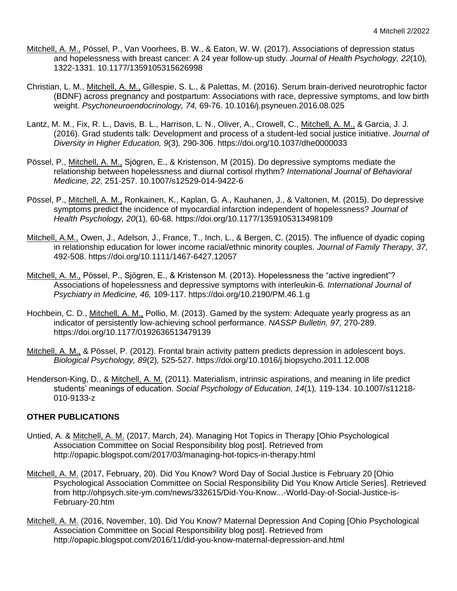- Mitchell, A. M., Pössel, P., Van Voorhees, B. W., & Eaton, W. W. (2017). Associations of depression status and hopelessness with breast cancer: A 24 year follow-up study. *Journal of Health Psychology, 22*(10)*,*  1322-1331. 10.1177/1359105315626998
- Christian, L. M., Mitchell, A. M., Gillespie, S. L., & Palettas, M. (2016). Serum brain-derived neurotrophic factor (BDNF) across pregnancy and postpartum: Associations with race, depressive symptoms, and low birth weight. *Psychoneuroendocrinology, 74,* 69-76. 10.1016/j.psyneuen.2016.08.025
- Lantz, M. M., Fix, R. L., Davis, B. L., Harrison, L. N., Oliver, A., Crowell, C., Mitchell, A. M., & Garcia, J. J. (2016). Grad students talk: Development and process of a student-led social justice initiative. *Journal of Diversity in Higher Education, 9*(3)*,* 290-306. https://doi.org/10.1037/dhe0000033
- Pössel, P., Mitchell, A. M., Sjögren, E., & Kristenson, M (2015). Do depressive symptoms mediate the relationship between hopelessness and diurnal cortisol rhythm? *International Journal of Behavioral Medicine, 22*, 251-257. 10.1007/s12529-014-9422-6
- Pössel, P., Mitchell, A. M., Ronkainen, K., Kaplan, G. A., Kauhanen, J., & Valtonen, M. (2015). Do depressive symptoms predict the incidence of myocardial infarction independent of hopelessness? *Journal of Health Psychology, 20*(1)*,* 60-68. https://doi.org/10.1177/1359105313498109
- Mitchell, A.M., Owen, J., Adelson, J., France, T., Inch, L., & Bergen, C. (2015). The influence of dyadic coping in relationship education for lower income racial/ethnic minority couples. *Journal of Family Therapy, 37,*  492-508. https://doi.org/10.1111/1467-6427.12057
- Mitchell, A. M., Pössel, P., Sjögren, E., & Kristenson M. (2013). Hopelessness the "active ingredient"? Associations of hopelessness and depressive symptoms with interleukin-6*. International Journal of Psychiatry in Medicine, 46,* 109-117. https://doi.org/10.2190/PM.46.1.g
- Hochbein, C. D., Mitchell, A. M., Pollio, M. (2013). Gamed by the system: Adequate yearly progress as an indicator of persistently low-achieving school performance. *NASSP Bulletin, 97,* 270-289. https://doi.org/10.1177/0192636513479139
- Mitchell, A. M., & Pössel, P. (2012). Frontal brain activity pattern predicts depression in adolescent boys. *Biological Psychology, 89*(2)*,* 525-527. https://doi.org/10.1016/j.biopsycho.2011.12.008
- Henderson-King, D., & Mitchell, A. M. (2011). Materialism, intrinsic aspirations, and meaning in life predict students' meanings of education. *Social Psychology of Education, 14*(1)*,* 119-134. 10.1007/s11218- 010-9133-z

# **OTHER PUBLICATIONS**

- Untied, A. & Mitchell, A. M. (2017, March, 24). Managing Hot Topics in Therapy [Ohio Psychological Association Committee on Social Responsibility blog post]. Retrieved from http://opapic.blogspot.com/2017/03/managing-hot-topics-in-therapy.html
- Mitchell, A. M. (2017, February, 20). Did You Know? Word Day of Social Justice is February 20 [Ohio Psychological Association Committee on Social Responsibility Did You Know Article Series]. Retrieved from http://ohpsych.site-ym.com/news/332615/Did-You-Know...-World-Day-of-Social-Justice-is-February-20.htm
- Mitchell, A. M. (2016, November, 10). Did You Know? Maternal Depression And Coping [Ohio Psychological Association Committee on Social Responsibility blog post]. Retrieved from http://opapic.blogspot.com/2016/11/did-you-know-maternal-depression-and.html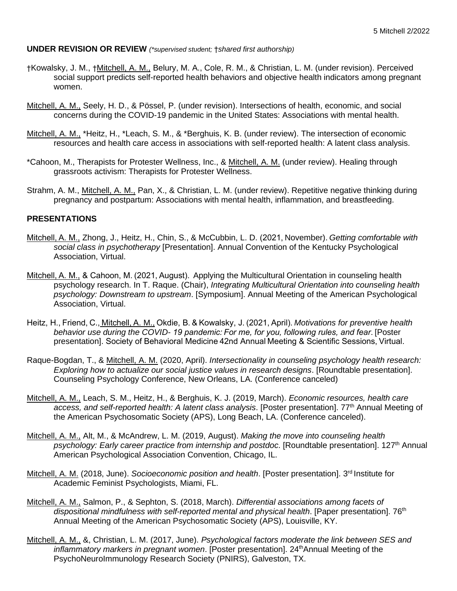#### **UNDER REVISION OR REVIEW** *(\*supervised student;* †*shared first authorship)*

- †Kowalsky, J. M., †Mitchell, A. M., Belury, M. A., Cole, R. M., & Christian, L. M. (under revision). Perceived social support predicts self-reported health behaviors and objective health indicators among pregnant women.
- Mitchell, A. M., Seely, H. D., & Pössel, P. (under revision). Intersections of health, economic, and social concerns during the COVID-19 pandemic in the United States: Associations with mental health.
- Mitchell, A. M., \*Heitz, H., \*Leach, S. M., & \*Berghuis, K. B. (under review). The intersection of economic resources and health care access in associations with self-reported health: A latent class analysis.
- \*Cahoon, M., Therapists for Protester Wellness, Inc., & Mitchell, A. M. (under review). Healing through grassroots activism: Therapists for Protester Wellness.
- Strahm, A. M., Mitchell, A. M., Pan, X., & Christian, L. M. (under review). Repetitive negative thinking during pregnancy and postpartum: Associations with mental health, inflammation, and breastfeeding.

# **PRESENTATIONS**

- Mitchell, A. M., Zhong, J., Heitz, H., Chin, S., & McCubbin, L. D. (2021, November). *Getting comfortable with social class in psychotherapy* [Presentation]. Annual Convention of the Kentucky Psychological Association, Virtual.
- Mitchell, A. M., & Cahoon, M. (2021, August).  Applying the Multicultural Orientation in counseling health psychology research. In T. Raque. (Chair), *Integrating Multicultural Orientation into counseling health psychology: Downstream to upstream*. [Symposium]. Annual Meeting of the American Psychological Association, Virtual.
- Heitz, H., Friend, C., Mitchell, A. M., Okdie, B. & Kowalsky, J. (2021, April). *Motivations for preventive health behavior use during the COVID- 19 pandemic: For me, for you, following rules, and fear*. [Poster presentation]. Society of Behavioral Medicine 42nd Annual Meeting & Scientific Sessions, Virtual.
- Raque-Bogdan, T., & Mitchell, A. M. (2020, April). *Intersectionality in counseling psychology health research: Exploring how to actualize our social justice values in research designs*. [Roundtable presentation]. Counseling Psychology Conference, New Orleans, LA. (Conference canceled)
- Mitchell, A. M., Leach, S. M., Heitz, H., & Berghuis, K. J. (2019, March). *Economic resources, health care*  access, and self-reported health: A latent class analysis. [Poster presentation]. 77<sup>th</sup> Annual Meeting of the American Psychosomatic Society (APS), Long Beach, LA. (Conference canceled).
- Mitchell, A. M., Alt, M., & McAndrew, L. M. (2019, August). *Making the move into counseling health psychology: Early career practice from internship and postdoc*. [Roundtable presentation]. 127th Annual American Psychological Association Convention, Chicago, IL.
- Mitchell, A. M. (2018, June). *Socioeconomic position and health*. [Poster presentation]. 3<sup>rd</sup> Institute for Academic Feminist Psychologists, Miami, FL.
- Mitchell, A. M., Salmon, P., & Sephton, S. (2018, March). *Differential associations among facets of dispositional mindfulness with self-reported mental and physical health.* [Paper presentation]. 76<sup>th</sup> Annual Meeting of the American Psychosomatic Society (APS), Louisville, KY.
- Mitchell, A. M., &, Christian, L. M. (2017, June). *Psychological factors moderate the link between SES and inflammatory markers in pregnant women*. [Poster presentation]. 24<sup>th</sup>Annual Meeting of the PsychoNeuroImmunology Research Society (PNIRS), Galveston, TX.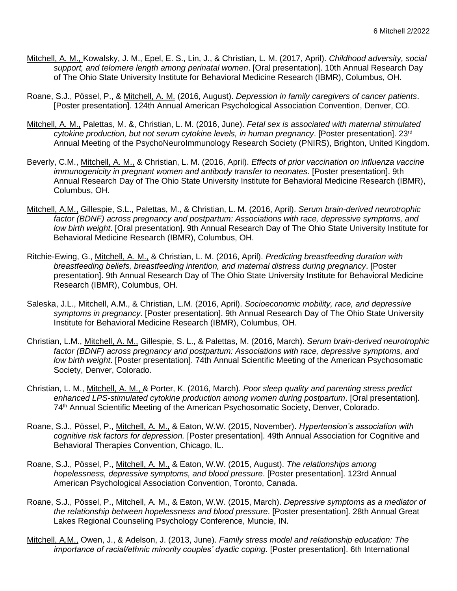- Mitchell, A. M., Kowalsky, J. M., Epel, E. S., Lin, J., & Christian, L. M. (2017, April). *Childhood adversity, social support, and telomere length among perinatal women*. [Oral presentation]. 10th Annual Research Day of The Ohio State University Institute for Behavioral Medicine Research (IBMR), Columbus, OH.
- Roane, S.J., Pössel, P., & Mitchell, A. M. (2016, August). *Depression in family caregivers of cancer patients*. [Poster presentation]. 124th Annual American Psychological Association Convention, Denver, CO.
- Mitchell, A. M., Palettas, M. &, Christian, L. M. (2016, June). *Fetal sex is associated with maternal stimulated cytokine production, but not serum cytokine levels, in human pregnancy*. [Poster presentation]. 23rd Annual Meeting of the PsychoNeuroImmunology Research Society (PNIRS), Brighton, United Kingdom.
- Beverly, C.M., Mitchell, A. M., & Christian, L. M. (2016, April). *Effects of prior vaccination on influenza vaccine immunogenicity in pregnant women and antibody transfer to neonates*. [Poster presentation]. 9th Annual Research Day of The Ohio State University Institute for Behavioral Medicine Research (IBMR), Columbus, OH.
- Mitchell, A.M., Gillespie, S.L., Palettas, M., & Christian, L. M. (2016, April). *Serum brain-derived neurotrophic factor (BDNF) across pregnancy and postpartum: Associations with race, depressive symptoms, and low birth weight*. [Oral presentation]. 9th Annual Research Day of The Ohio State University Institute for Behavioral Medicine Research (IBMR), Columbus, OH.
- Ritchie-Ewing, G., Mitchell, A. M., & Christian, L. M. (2016, April). *Predicting breastfeeding duration with breastfeeding beliefs, breastfeeding intention, and maternal distress during pregnancy*. [Poster presentation]. 9th Annual Research Day of The Ohio State University Institute for Behavioral Medicine Research (IBMR), Columbus, OH.
- Saleska, J.L., Mitchell, A.M., & Christian, L.M. (2016, April). *Socioeconomic mobility, race, and depressive symptoms in pregnancy*. [Poster presentation]. 9th Annual Research Day of The Ohio State University Institute for Behavioral Medicine Research (IBMR), Columbus, OH.
- Christian, L.M., Mitchell, A. M., Gillespie, S. L., & Palettas, M. (2016, March). *Serum brain-derived neurotrophic factor (BDNF) across pregnancy and postpartum: Associations with race, depressive symptoms, and low birth weight*. [Poster presentation]. 74th Annual Scientific Meeting of the American Psychosomatic Society, Denver, Colorado.
- Christian, L. M., Mitchell, A. M., & Porter, K. (2016, March). *Poor sleep quality and parenting stress predict enhanced LPS-stimulated cytokine production among women during postpartum*. [Oral presentation]. 74th Annual Scientific Meeting of the American Psychosomatic Society, Denver, Colorado.
- Roane, S.J., Pössel, P., Mitchell, A. M., & Eaton, W.W. (2015, November). *Hypertension's association with cognitive risk factors for depression.* [Poster presentation]. 49th Annual Association for Cognitive and Behavioral Therapies Convention, Chicago, IL.
- Roane, S.J., Pössel, P., Mitchell, A. M., & Eaton, W.W. (2015, August). *The relationships among hopelessness, depressive symptoms, and blood pressure*. [Poster presentation]. 123rd Annual American Psychological Association Convention, Toronto, Canada.
- Roane, S.J., Pössel, P., Mitchell, A. M., & Eaton, W.W. (2015, March). *Depressive symptoms as a mediator of the relationship between hopelessness and blood pressure*. [Poster presentation]. 28th Annual Great Lakes Regional Counseling Psychology Conference, Muncie, IN.
- Mitchell, A.M., Owen, J., & Adelson, J. (2013, June). *Family stress model and relationship education: The importance of racial/ethnic minority couples' dyadic coping*. [Poster presentation]. 6th International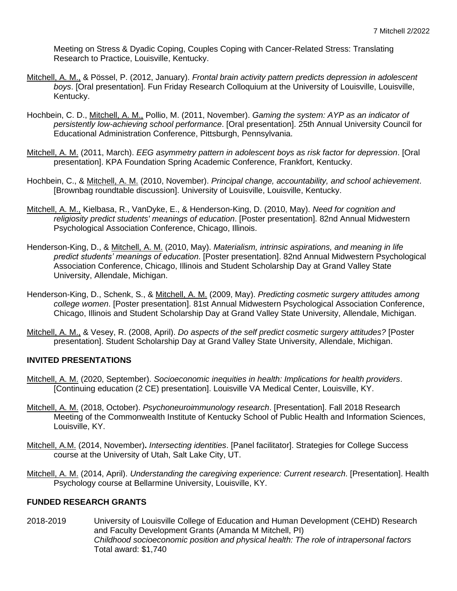Meeting on Stress & Dyadic Coping, Couples Coping with Cancer-Related Stress: Translating Research to Practice, Louisville, Kentucky.

- Mitchell, A. M., & Pössel, P. (2012, January). *Frontal brain activity pattern predicts depression in adolescent boys*. [Oral presentation]. Fun Friday Research Colloquium at the University of Louisville, Louisville, Kentucky.
- Hochbein, C. D., Mitchell, A. M., Pollio, M. (2011, November). *Gaming the system: AYP as an indicator of persistently low-achieving school performance*. [Oral presentation]. 25th Annual University Council for Educational Administration Conference, Pittsburgh, Pennsylvania.
- Mitchell, A. M. (2011, March). *EEG asymmetry pattern in adolescent boys as risk factor for depression*. [Oral presentation]. KPA Foundation Spring Academic Conference, Frankfort, Kentucky.
- Hochbein, C., & Mitchell, A. M. (2010, November). *Principal change, accountability, and school achievement*. [Brownbag roundtable discussion]. University of Louisville, Louisville, Kentucky.
- Mitchell, A. M., Kielbasa, R., VanDyke, E., & Henderson-King, D. (2010, May). *Need for cognition and religiosity predict students' meanings of education*. [Poster presentation]. 82nd Annual Midwestern Psychological Association Conference, Chicago, Illinois.
- Henderson-King, D., & Mitchell, A. M. (2010, May). *Materialism, intrinsic aspirations, and meaning in life predict students' meanings of education*. [Poster presentation]. 82nd Annual Midwestern Psychological Association Conference, Chicago, Illinois and Student Scholarship Day at Grand Valley State University, Allendale, Michigan.
- Henderson-King, D., Schenk, S., & Mitchell, A. M. (2009, May). *Predicting cosmetic surgery attitudes among college women*. [Poster presentation]. 81st Annual Midwestern Psychological Association Conference, Chicago, Illinois and Student Scholarship Day at Grand Valley State University, Allendale, Michigan.
- Mitchell, A. M., & Vesey, R. (2008, April). *Do aspects of the self predict cosmetic surgery attitudes?* [Poster presentation]. Student Scholarship Day at Grand Valley State University, Allendale, Michigan.

# **INVITED PRESENTATIONS**

- Mitchell, A. M. (2020, September). *Socioeconomic inequities in health: Implications for health providers*. [Continuing education (2 CE) presentation]. Louisville VA Medical Center, Louisville, KY.
- Mitchell, A. M. (2018, October). *Psychoneuroimmunology research*. [Presentation]. Fall 2018 Research Meeting of the Commonwealth Institute of Kentucky School of Public Health and Information Sciences, Louisville, KY.
- Mitchell, A.M. (2014, November)**.** *Intersecting identities*. [Panel facilitator]. Strategies for College Success course at the University of Utah, Salt Lake City, UT.
- Mitchell, A. M. (2014, April). *Understanding the caregiving experience: Current research*. [Presentation]. Health Psychology course at Bellarmine University, Louisville, KY.

# **FUNDED RESEARCH GRANTS**

2018-2019 University of Louisville College of Education and Human Development (CEHD) Research and Faculty Development Grants (Amanda M Mitchell, PI) *Childhood socioeconomic position and physical health: The role of intrapersonal factors* Total award: \$1,740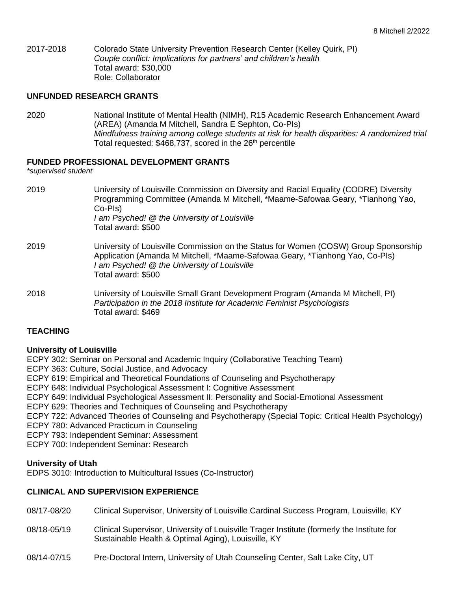2017-2018 Colorado State University Prevention Research Center (Kelley Quirk, PI) *Couple conflict: Implications for partners' and children's health* Total award: \$30,000 Role: Collaborator

#### **UNFUNDED RESEARCH GRANTS**

2020 National Institute of Mental Health (NIMH), R15 Academic Research Enhancement Award (AREA) (Amanda M Mitchell, Sandra E Sephton, Co-PIs) *Mindfulness training among college students at risk for health disparities: A randomized trial* Total requested: \$468,737, scored in the 26<sup>th</sup> percentile

#### **FUNDED PROFESSIONAL DEVELOPMENT GRANTS**

*\*supervised student*

| 2019 | University of Louisville Commission on Diversity and Racial Equality (CODRE) Diversity<br>Programming Committee (Amanda M Mitchell, *Maame-Safowaa Geary, *Tianhong Yao,<br>Co-Pls)<br>I am Psyched! @ the University of Louisville<br>Total award: \$500 |
|------|-----------------------------------------------------------------------------------------------------------------------------------------------------------------------------------------------------------------------------------------------------------|
| 2019 | University of Louisville Commission on the Status for Women (COSW) Group Sponsorship<br>Application (Amanda M Mitchell, *Maame-Safowaa Geary, *Tianhong Yao, Co-Pls)<br>I am Psyched! @ the University of Louisville<br>Total award: \$500                |
| 2018 | University of Louisville Small Grant Development Program (Amanda M Mitchell, PI)<br>Participation in the 2018 Institute for Academic Feminist Psychologists<br>Total award: \$469                                                                         |

# **TEACHING**

#### **University of Louisville**

ECPY 302: Seminar on Personal and Academic Inquiry (Collaborative Teaching Team)

ECPY 363: Culture, Social Justice, and Advocacy

- ECPY 619: Empirical and Theoretical Foundations of Counseling and Psychotherapy
- ECPY 648: Individual Psychological Assessment I: Cognitive Assessment
- ECPY 649: Individual Psychological Assessment II: Personality and Social-Emotional Assessment
- ECPY 629: Theories and Techniques of Counseling and Psychotherapy
- ECPY 722: Advanced Theories of Counseling and Psychotherapy (Special Topic: Critical Health Psychology)
- ECPY 780: Advanced Practicum in Counseling
- ECPY 793: Independent Seminar: Assessment

ECPY 700: Independent Seminar: Research

#### **University of Utah**

EDPS 3010: Introduction to Multicultural Issues (Co-Instructor)

#### **CLINICAL AND SUPERVISION EXPERIENCE**

- 08/17-08/20 Clinical Supervisor, University of Louisville Cardinal Success Program, Louisville, KY
- 08/18-05/19 Clinical Supervisor, University of Louisville Trager Institute (formerly the Institute for Sustainable Health & Optimal Aging), Louisville, KY
- 08/14-07/15 Pre-Doctoral Intern, University of Utah Counseling Center, Salt Lake City, UT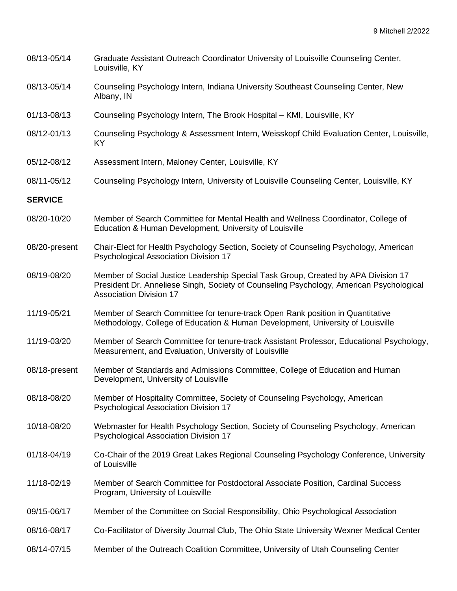| 08/13-05/14    | Graduate Assistant Outreach Coordinator University of Louisville Counseling Center,<br>Louisville, KY                                                                                                           |
|----------------|-----------------------------------------------------------------------------------------------------------------------------------------------------------------------------------------------------------------|
| 08/13-05/14    | Counseling Psychology Intern, Indiana University Southeast Counseling Center, New<br>Albany, IN                                                                                                                 |
| 01/13-08/13    | Counseling Psychology Intern, The Brook Hospital - KMI, Louisville, KY                                                                                                                                          |
| 08/12-01/13    | Counseling Psychology & Assessment Intern, Weisskopf Child Evaluation Center, Louisville,<br>KY                                                                                                                 |
| 05/12-08/12    | Assessment Intern, Maloney Center, Louisville, KY                                                                                                                                                               |
| 08/11-05/12    | Counseling Psychology Intern, University of Louisville Counseling Center, Louisville, KY                                                                                                                        |
| <b>SERVICE</b> |                                                                                                                                                                                                                 |
| 08/20-10/20    | Member of Search Committee for Mental Health and Wellness Coordinator, College of<br>Education & Human Development, University of Louisville                                                                    |
| 08/20-present  | Chair-Elect for Health Psychology Section, Society of Counseling Psychology, American<br><b>Psychological Association Division 17</b>                                                                           |
| 08/19-08/20    | Member of Social Justice Leadership Special Task Group, Created by APA Division 17<br>President Dr. Anneliese Singh, Society of Counseling Psychology, American Psychological<br><b>Association Division 17</b> |
| 11/19-05/21    | Member of Search Committee for tenure-track Open Rank position in Quantitative<br>Methodology, College of Education & Human Development, University of Louisville                                               |
| 11/19-03/20    | Member of Search Committee for tenure-track Assistant Professor, Educational Psychology,<br>Measurement, and Evaluation, University of Louisville                                                               |
| 08/18-present  | Member of Standards and Admissions Committee, College of Education and Human<br>Development, University of Louisville                                                                                           |
| 08/18-08/20    | Member of Hospitality Committee, Society of Counseling Psychology, American<br>Psychological Association Division 17                                                                                            |
| 10/18-08/20    | Webmaster for Health Psychology Section, Society of Counseling Psychology, American<br>Psychological Association Division 17                                                                                    |
| 01/18-04/19    | Co-Chair of the 2019 Great Lakes Regional Counseling Psychology Conference, University<br>of Louisville                                                                                                         |
| 11/18-02/19    | Member of Search Committee for Postdoctoral Associate Position, Cardinal Success<br>Program, University of Louisville                                                                                           |
| 09/15-06/17    | Member of the Committee on Social Responsibility, Ohio Psychological Association                                                                                                                                |
| 08/16-08/17    | Co-Facilitator of Diversity Journal Club, The Ohio State University Wexner Medical Center                                                                                                                       |
|                |                                                                                                                                                                                                                 |

08/14-07/15 Member of the Outreach Coalition Committee, University of Utah Counseling Center